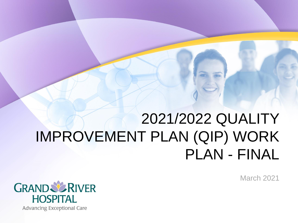## 2021/2022 QUALITY IMPROVEMENT PLAN (QIP) WORK PLAN - FINAL

March 2021

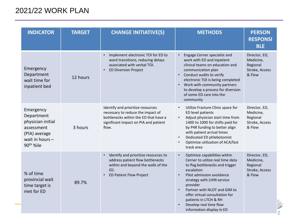## 2021/22 WORK PLAN

| <b>INDICATOR</b>                                                                                                          | <b>TARGET</b> | <b>CHANGE INITIATIVE(S)</b>                                                                                                                                       | <b>METHODS</b>                                                                                                                                                                                                                                                                                                                                                       | <b>PERSON</b><br><b>RESPONSI</b><br><b>BLE</b>                     |
|---------------------------------------------------------------------------------------------------------------------------|---------------|-------------------------------------------------------------------------------------------------------------------------------------------------------------------|----------------------------------------------------------------------------------------------------------------------------------------------------------------------------------------------------------------------------------------------------------------------------------------------------------------------------------------------------------------------|--------------------------------------------------------------------|
| Emergency<br>Department<br>wait time for<br>inpatient bed                                                                 | 12 hours      | Implement electronic TOI for ED to<br>ward transitions, reducing delays<br>associated with verbal TOI.<br><b>ED Diversion Project</b>                             | Engage Cerner specialist and<br>work with ED and inpatient<br>clinical teams on education and<br>communication plan<br>Conduct audits to verify<br>$\bullet$<br>electronic TOI is being completed<br>Work with community partners<br>to develop a process for diversion<br>of some ED care into the<br>community                                                     | Director, ED,<br>Medicine,<br>Regional<br>Stroke, Access<br>& Flow |
| Emergency<br>Department<br>physician initial<br>assessment<br>(PIA) average<br>wait in hours $-$<br>90 <sup>th</sup> %ile | 3 hours       | Identify and prioritize resources<br>necessary to reduce the impact of<br>bottlenecks within the ED that have a<br>significant impact on PIA and patient<br>flow. | Utilize Fracture Clinic space for<br>$\bullet$<br>ED level patients<br>Adjust physician start time from<br>$\bullet$<br>1400 to 1000 for shifts paid for<br>by P4R funding to better align<br>with patient arrival times<br>Dedicated ED phlebotomist<br>$\bullet$<br>Optimize utilization of ACA/fast<br>track area                                                 | Director, ED,<br>Medicine,<br>Regional<br>Stroke, Access<br>& Flow |
| % of time<br>provincial wait<br>time target is<br>met for ED                                                              | 89.7%         | Identify and prioritize resources to<br>address patient flow bottlenecks<br>within and beyond the walls of the<br>ED.<br><b>ED Patient Flow Project</b>           | Optimize capabilities within<br>$\bullet$<br>Cerner to utilize real time data<br>to flag bottlenecks and trigger<br>escalation<br>Pilot admission avoidance<br>$\bullet$<br>strategy with LHIN service<br>provider<br>Partner with NLOT and GIM to<br>offer virtual consultation for<br>patients in LTCH & RH<br>Develop real time flow<br>information display in ED | Director, ED,<br>Medicine,<br>Regional<br>Stroke, Access<br>& Flow |

7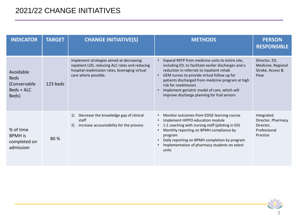## 2021/22 CHANGE INITIATIVES

| <b>INDICATOR</b>                                                | <b>TARGET</b> | <b>CHANGE INITIATIVE(S)</b>                                                                                                                                          | <b>METHODS</b>                                                                                                                                                                                                                                                                                                                                                                    | <b>PERSON</b><br><b>RESPONSIBLE</b>                                       |
|-----------------------------------------------------------------|---------------|----------------------------------------------------------------------------------------------------------------------------------------------------------------------|-----------------------------------------------------------------------------------------------------------------------------------------------------------------------------------------------------------------------------------------------------------------------------------------------------------------------------------------------------------------------------------|---------------------------------------------------------------------------|
| Avoidable<br><b>Beds</b><br>(Conservable<br>Beds + ALC<br>Beds) | 123 beds      | Implement strategies aimed at decreasing<br>inpatient LOS, reducing ALC rates and reducing<br>hospital readmission rates, leveraging virtual<br>care where possible. | Expand RRTP from medicine units to entire site,<br>including ED, to facilitate earlier discharges and a<br>reduction in referrals to inpatient rehab<br>GEM nurses to provide virtual follow up for<br>patients discharged from medicine program at high<br>risk for readmission<br>Implement geriatric model of care, which will<br>improve discharge planning for frail seniors | Director, ED,<br>Medicine, Regional<br>Stroke, Access &<br><b>Flow</b>    |
| % of time<br><b>BPMH</b> is<br>completed on<br>admission        | 80 %          | Decrease the knowledge gap of clinical<br>1)<br>staff<br>Increase accountability for the process<br>2)                                                               | Monitor outcomes from EDGE learning course<br>$\bullet$<br>Implement HIPPO education module<br>$\bullet$<br>1:1 coaching with nursing staff (piloting in ED)<br>Monthly reporting on BPMH compliance by<br>$\bullet$<br>program<br>Daily reporting on BPMH completion by program<br>Implementation of pharmacy students on select<br>units                                        | Integrated<br>Director, Pharmacy<br>Director,<br>Professional<br>Practice |